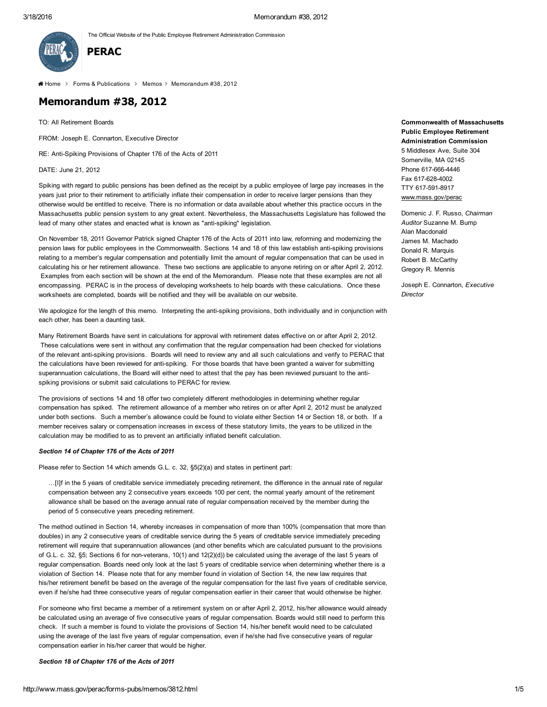The Official Website of the Public Employee Retirement Administration Commission



 $\triangleleft$  [Home](http://www.mass.gov/perac) > Forms & [Publications](http://www.mass.gov/perac/forms-pubs/) > [Memos](http://www.mass.gov/perac/forms-pubs/memos/) > Memorandum #38, 2012

# Memorandum #38, 2012

TO: All Retirement Boards

FROM: Joseph E. Connarton, Executive Director

RE: Anti-Spiking Provisions of Chapter 176 of the Acts of 2011

DATE: June 21, 2012

Spiking with regard to public pensions has been defined as the receipt by a public employee of large pay increases in the years just prior to their retirement to artificially inflate their compensation in order to receive larger pensions than they otherwise would be entitled to receive. There is no information or data available about whether this practice occurs in the Massachusetts public pension system to any great extent. Nevertheless, the Massachusetts Legislature has followed the lead of many other states and enacted what is known as "anti-spiking" legislation.

On November 18, 2011 Governor Patrick signed Chapter 176 of the Acts of 2011 into law, reforming and modernizing the pension laws for public employees in the Commonwealth. Sections 14 and 18 of this law establish anti-spiking provisions relating to a member's regular compensation and potentially limit the amount of regular compensation that can be used in calculating his or her retirement allowance. These two sections are applicable to anyone retiring on or after April 2, 2012. Examples from each section will be shown at the end of the Memorandum. Please note that these examples are not all encompassing. PERAC is in the process of developing worksheets to help boards with these calculations. Once these worksheets are completed, boards will be notified and they will be available on our website.

We apologize for the length of this memo. Interpreting the anti-spiking provisions, both individually and in conjunction with each other, has been a daunting task.

Many Retirement Boards have sent in calculations for approval with retirement dates effective on or after April 2, 2012. These calculations were sent in without any confirmation that the regular compensation had been checked for violations of the relevant antispiking provisions. Boards will need to review any and all such calculations and verify to PERAC that the calculations have been reviewed for antispiking. For those boards that have been granted a waiver for submitting superannuation calculations, the Board will either need to attest that the pay has been reviewed pursuant to the antispiking provisions or submit said calculations to PERAC for review.

The provisions of sections 14 and 18 offer two completely different methodologies in determining whether regular compensation has spiked. The retirement allowance of a member who retires on or after April 2, 2012 must be analyzed under both sections. Such a member's allowance could be found to violate either Section 14 or Section 18, or both. If a member receives salary or compensation increases in excess of these statutory limits, the years to be utilized in the calculation may be modified to as to prevent an artificially inflated benefit calculation.

#### *Section 14 of Chapter 176 of the Acts of 2011*

Please refer to Section 14 which amends G.L. c. 32, §5(2)(a) and states in pertinent part:

…[I]f in the 5 years of creditable service immediately preceding retirement, the difference in the annual rate of regular compensation between any 2 consecutive years exceeds 100 per cent, the normal yearly amount of the retirement allowance shall be based on the average annual rate of regular compensation received by the member during the period of 5 consecutive years preceding retirement.

The method outlined in Section 14, whereby increases in compensation of more than 100% (compensation that more than doubles) in any 2 consecutive years of creditable service during the 5 years of creditable service immediately preceding retirement will require that superannuation allowances (and other benefits which are calculated pursuant to the provisions of G.L. c. 32, §5; Sections 6 for non-veterans, 10(1) and 12(2)(d)) be calculated using the average of the last 5 years of regular compensation. Boards need only look at the last 5 years of creditable service when determining whether there is a violation of Section 14. Please note that for any member found in violation of Section 14, the new law requires that his/her retirement benefit be based on the average of the regular compensation for the last five years of creditable service, even if he/she had three consecutive years of regular compensation earlier in their career that would otherwise be higher.

For someone who first became a member of a retirement system on or after April 2, 2012, his/her allowance would already be calculated using an average of five consecutive years of regular compensation. Boards would still need to perform this check. If such a member is found to violate the provisions of Section 14, his/her benefit would need to be calculated using the average of the last five years of regular compensation, even if he/she had five consecutive years of regular compensation earlier in his/her career that would be higher.

*Section 18 of Chapter 176 of the Acts of 2011*

5 Middlesex Ave, Suite 304 Somerville, MA 02145 Phone 617-666-4446 Fax 6176284002 TTY 617-591-8917 [www.mass.gov/perac](http://www.mass.gov/perac) Domenic J. F. Russo, *Chairman Auditor* Suzanne M. Bump Alan Macdonald

James M. Machado Donald R. Marquis Robert B. McCarthy Gregory R. Mennis

Commonwealth of Massachusetts Public Employee Retirement Administration Commission

Joseph E. Connarton, *Executive Director*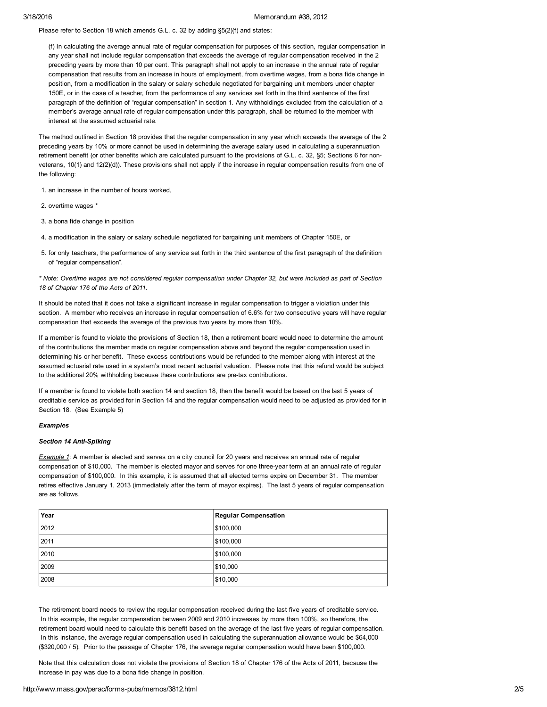Please refer to Section 18 which amends G.L. c. 32 by adding §5(2)(f) and states:

(f) In calculating the average annual rate of regular compensation for purposes of this section, regular compensation in any year shall not include regular compensation that exceeds the average of regular compensation received in the 2 preceding years by more than 10 per cent. This paragraph shall not apply to an increase in the annual rate of regular compensation that results from an increase in hours of employment, from overtime wages, from a bona fide change in position, from a modification in the salary or salary schedule negotiated for bargaining unit members under chapter 150E, or in the case of a teacher, from the performance of any services set forth in the third sentence of the first paragraph of the definition of "regular compensation" in section 1. Any withholdings excluded from the calculation of a member's average annual rate of regular compensation under this paragraph, shall be returned to the member with interest at the assumed actuarial rate.

The method outlined in Section 18 provides that the regular compensation in any year which exceeds the average of the 2 preceding years by 10% or more cannot be used in determining the average salary used in calculating a superannuation retirement benefit (or other benefits which are calculated pursuant to the provisions of G.L. c. 32, §5; Sections 6 for nonveterans, 10(1) and 12(2)(d)). These provisions shall not apply if the increase in regular compensation results from one of the following:

1. an increase in the number of hours worked,

- 2. overtime wages \*
- 3. a bona fide change in position

4. a modification in the salary or salary schedule negotiated for bargaining unit members of Chapter 150E, or

5. for only teachers, the performance of any service set forth in the third sentence of the first paragraph of the definition of "regular compensation".

\* Note: Overtime wages are not considered regular compensation under Chapter 32, but were included as part of Section *18 of Chapter 176 of the Acts of 2011.*

It should be noted that it does not take a significant increase in regular compensation to trigger a violation under this section. A member who receives an increase in regular compensation of 6.6% for two consecutive years will have regular compensation that exceeds the average of the previous two years by more than 10%.

If a member is found to violate the provisions of Section 18, then a retirement board would need to determine the amount of the contributions the member made on regular compensation above and beyond the regular compensation used in determining his or her benefit. These excess contributions would be refunded to the member along with interest at the assumed actuarial rate used in a system's most recent actuarial valuation. Please note that this refund would be subject to the additional 20% withholding because these contributions are pre-tax contributions.

If a member is found to violate both section 14 and section 18, then the benefit would be based on the last 5 years of creditable service as provided for in Section 14 and the regular compensation would need to be adjusted as provided for in Section 18. (See Example 5)

# *Examples*

# **Section 14 Anti-Spiking**

*Example 1*: A member is elected and serves on a city council for 20 years and receives an annual rate of regular compensation of \$10,000. The member is elected mayor and serves for one three-year term at an annual rate of regular compensation of \$100,000. In this example, it is assumed that all elected terms expire on December 31. The member retires effective January 1, 2013 (immediately after the term of mayor expires). The last 5 years of regular compensation are as follows.

| Year | <b>Regular Compensation</b> |
|------|-----------------------------|
| 2012 | \$100,000                   |
| 2011 | \$100,000                   |
| 2010 | \$100,000                   |
| 2009 | \$10,000                    |
| 2008 | \$10,000                    |

The retirement board needs to review the regular compensation received during the last five years of creditable service. In this example, the regular compensation between 2009 and 2010 increases by more than 100%, so therefore, the retirement board would need to calculate this benefit based on the average of the last five years of regular compensation. In this instance, the average regular compensation used in calculating the superannuation allowance would be \$64,000 (\$320,000 / 5). Prior to the passage of Chapter 176, the average regular compensation would have been \$100,000.

Note that this calculation does not violate the provisions of Section 18 of Chapter 176 of the Acts of 2011, because the increase in pay was due to a bona fide change in position.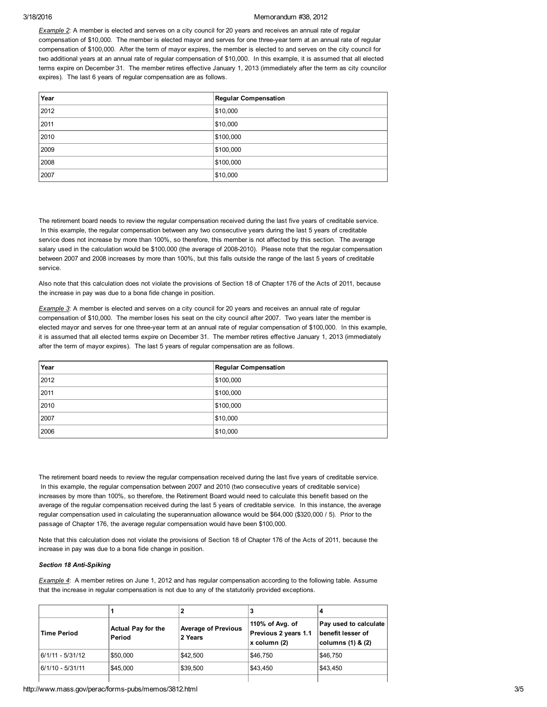# 3/18/2016 Memorandum #38, 2012

*Example 2*: A member is elected and serves on a city council for 20 years and receives an annual rate of regular compensation of \$10,000. The member is elected mayor and serves for one three-year term at an annual rate of regular compensation of \$100,000. After the term of mayor expires, the member is elected to and serves on the city council for two additional years at an annual rate of regular compensation of \$10,000. In this example, it is assumed that all elected terms expire on December 31. The member retires effective January 1, 2013 (immediately after the term as city councilor expires). The last 6 years of regular compensation are as follows.

| Year | <b>Regular Compensation</b> |
|------|-----------------------------|
| 2012 | \$10,000                    |
| 2011 | \$10,000                    |
| 2010 | \$100,000                   |
| 2009 | \$100,000                   |
| 2008 | \$100,000                   |
| 2007 | \$10,000                    |

The retirement board needs to review the regular compensation received during the last five years of creditable service. In this example, the regular compensation between any two consecutive years during the last 5 years of creditable service does not increase by more than 100%, so therefore, this member is not affected by this section. The average salary used in the calculation would be \$100,000 (the average of 2008-2010). Please note that the regular compensation between 2007 and 2008 increases by more than 100%, but this falls outside the range of the last 5 years of creditable service.

Also note that this calculation does not violate the provisions of Section 18 of Chapter 176 of the Acts of 2011, because the increase in pay was due to a bona fide change in position.

*Example 3*: A member is elected and serves on a city council for 20 years and receives an annual rate of regular compensation of \$10,000. The member loses his seat on the city council after 2007. Two years later the member is elected mayor and serves for one three-year term at an annual rate of regular compensation of \$100,000. In this example, it is assumed that all elected terms expire on December 31. The member retires effective January 1, 2013 (immediately after the term of mayor expires). The last 5 years of regular compensation are as follows.

| Year | <b>Regular Compensation</b> |
|------|-----------------------------|
| 2012 | \$100,000                   |
| 2011 | \$100,000                   |
| 2010 | \$100,000                   |
| 2007 | \$10,000                    |
| 2006 | \$10,000                    |

The retirement board needs to review the regular compensation received during the last five years of creditable service. In this example, the regular compensation between 2007 and 2010 (two consecutive years of creditable service) increases by more than 100%, so therefore, the Retirement Board would need to calculate this benefit based on the average of the regular compensation received during the last 5 years of creditable service. In this instance, the average regular compensation used in calculating the superannuation allowance would be \$64,000 (\$320,000 / 5). Prior to the passage of Chapter 176, the average regular compensation would have been \$100,000.

Note that this calculation does not violate the provisions of Section 18 of Chapter 176 of the Acts of 2011, because the increase in pay was due to a bona fide change in position.

### **Section 18 Anti-Spiking**

*Example 4*: A member retires on June 1, 2012 and has regular compensation according to the following table. Assume that the increase in regular compensation is not due to any of the statutorily provided exceptions.

|                    |                                     |                                       |                                                          | 4                                                                   |
|--------------------|-------------------------------------|---------------------------------------|----------------------------------------------------------|---------------------------------------------------------------------|
| <b>Time Period</b> | <b>Actual Pay for the</b><br>Period | <b>Average of Previous</b><br>2 Years | 110% of Avg. of<br>Previous 2 years 1.1<br> x column (2) | Pay used to calculate<br>benefit lesser of<br>columns $(1)$ & $(2)$ |
| 6/1/11 - 5/31/12   | \$50,000                            | \$42,500                              | \$46.750                                                 | \$46,750                                                            |
| 16/1/10 - 5/31/11  | \$45,000                            | \$39,500                              | \$43.450                                                 | \$43.450                                                            |
|                    |                                     |                                       |                                                          |                                                                     |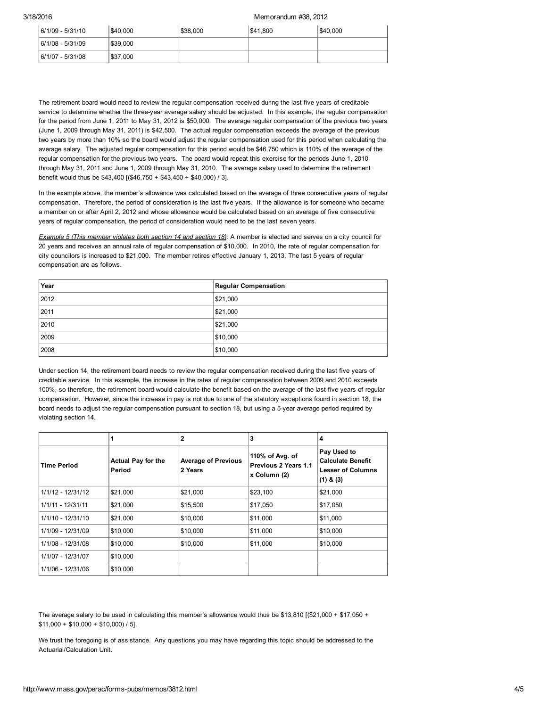# 3/18/2016 Memorandum #38, 2012

| 6/1/09 - 5/31/10 | \$40,000 | \$38,000 | \$41,800 | \$40,000 |
|------------------|----------|----------|----------|----------|
| 6/1/08 - 5/31/09 | \$39,000 |          |          |          |
| 6/1/07 - 5/31/08 | \$37,000 |          |          |          |

The retirement board would need to review the regular compensation received during the last five years of creditable service to determine whether the three-year average salary should be adjusted. In this example, the regular compensation for the period from June 1, 2011 to May 31, 2012 is \$50,000. The average regular compensation of the previous two years (June 1, 2009 through May 31, 2011) is \$42,500. The actual regular compensation exceeds the average of the previous two years by more than 10% so the board would adjust the regular compensation used for this period when calculating the average salary. The adjusted regular compensation for this period would be \$46,750 which is 110% of the average of the regular compensation for the previous two years. The board would repeat this exercise for the periods June 1, 2010 through May 31, 2011 and June 1, 2009 through May 31, 2010. The average salary used to determine the retirement benefit would thus be \$43,400 [(\$46,750 + \$43,450 + \$40,000) / 3].

In the example above, the member's allowance was calculated based on the average of three consecutive years of regular compensation. Therefore, the period of consideration is the last five years. If the allowance is for someone who became a member on or after April 2, 2012 and whose allowance would be calculated based on an average of five consecutive years of regular compensation, the period of consideration would need to be the last seven years.

*Example 5 (This member violates both section 14 and section 18)*: A member is elected and serves on a city council for 20 years and receives an annual rate of regular compensation of \$10,000. In 2010, the rate of regular compensation for city councilors is increased to \$21,000. The member retires effective January 1, 2013. The last 5 years of regular compensation are as follows.

| Year | <b>Regular Compensation</b> |
|------|-----------------------------|
| 2012 | \$21,000                    |
| 2011 | \$21,000                    |
| 2010 | \$21,000                    |
| 2009 | \$10,000                    |
| 2008 | \$10,000                    |

Under section 14, the retirement board needs to review the regular compensation received during the last five years of creditable service. In this example, the increase in the rates of regular compensation between 2009 and 2010 exceeds 100%, so therefore, the retirement board would calculate the benefit based on the average of the last five years of regular compensation. However, since the increase in pay is not due to one of the statutory exceptions found in section 18, the board needs to adjust the regular compensation pursuant to section 18, but using a 5year average period required by violating section 14.

|                     |                                     | $\overline{2}$                        | 3                                                       | 4                                                                                    |
|---------------------|-------------------------------------|---------------------------------------|---------------------------------------------------------|--------------------------------------------------------------------------------------|
| <b>Time Period</b>  | <b>Actual Pay for the</b><br>Period | <b>Average of Previous</b><br>2 Years | 110% of Avg. of<br>Previous 2 Years 1.1<br>x Column (2) | Pay Used to<br><b>Calculate Benefit</b><br><b>Lesser of Columns</b><br>$(1)$ & $(3)$ |
| 1/1/12 - 12/31/12   | \$21,000                            | \$21,000                              | \$23,100                                                | \$21,000                                                                             |
| $1/1/11 - 12/31/11$ | \$21,000                            | \$15,500                              | \$17,050                                                | \$17,050                                                                             |
| $1/1/10 - 12/31/10$ | \$21,000                            | \$10,000                              | \$11,000                                                | \$11,000                                                                             |
| 1/1/09 - 12/31/09   | \$10,000                            | \$10,000                              | \$11,000                                                | \$10,000                                                                             |
| 1/1/08 - 12/31/08   | \$10,000                            | \$10,000                              | \$11,000                                                | \$10,000                                                                             |
| 1/1/07 - 12/31/07   | \$10,000                            |                                       |                                                         |                                                                                      |
| 1/1/06 - 12/31/06   | \$10,000                            |                                       |                                                         |                                                                                      |

The average salary to be used in calculating this member's allowance would thus be \$13,810 [(\$21,000 + \$17,050 +  $$11,000 + $10,000 + $10,000)$  / 5].

We trust the foregoing is of assistance. Any questions you may have regarding this topic should be addressed to the Actuarial/Calculation Unit.